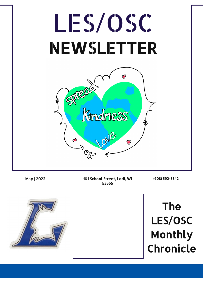

May | 2022 101 School Street, Lodi, WI 53555

(608) 592-3842



The LES/OSC Monthly Chronicle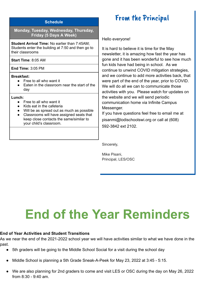#### **Schedule**

#### **Monday, Tuesday, Wednesday, Thursday, Friday (5 Days A Week)**

**Student Arrival Time:** No earlier than 7:45AM; Students enter the building at 7:50 and then go to their classrooms

**Start Time**: 8:05 AM

**End Time:** 3:05 PM

#### **Breakfast:**

- Free to all who want it
- Eaten in the classroom near the start of the day

#### **Lunch:**

- Free to all who want it
- Kids eat in the cafeteria
- Will be as spread out as much as possible ● Classrooms will have assigned seats that keep close contacts the same/similar to
- your child's classroom.

### From the Principal

Hello everyone!

It is hard to believe it is time for the May newsletter, it is amazing how fast the year has gone and it has been wonderful to see how much fun kids have had being in school. As we continue to unwind COVID mitigation strategies, and we continue to add more activities back, that were part of the end of the year, prior to COVID. We will do all we can to communicate those activities with you. Please watch for updates on the website and we will send periodic communication home via Infinite Campus Messenger.

If you have questions feel free to email me at pisanmi@lodischoolswi.org or call at (608) 592-3842 ext 2102.

Sincerely,

Mike Pisani, Principal, LES/OSC

# **End of the Year Reminders**

#### **End of Year Activities and Student Transitions**

As we near the end of the 2021-2022 school year we will have activities similar to what we have done in the past.

- 5th graders will be going to the Middle School Social for a visit during the school day
- Middle School is planning a 5th Grade Sneak-A-Peek for May 23, 2022 at 3:45 5:15.
- We are also planning for 2nd graders to come and visit LES or OSC during the day on May 26, 2022 from 8:30 - 9:40 am.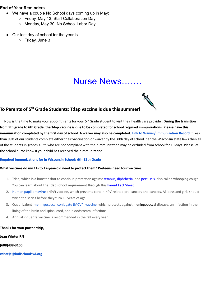#### **End of Year Reminders**

- We have a couple No School days coming up in May:
	- Friday, May 13, Staff Collaboration Day
	- Monday, May 30, No School Labor Day
- Our last day of school for the year is
	- Friday, June 3

### Nurse News…….

#### **To Parents of 5th Grade Students: Tdap vaccine is due this summer!**

Now is the time to make your appointments for your 5<sup>th</sup> Grade student to visit their health care provider. During the transition from 5th grade to 6th Grade, the Tdap vaccine is due to be completed for school required immunizations. Please have this immunization completed by the first day of school. A waiver may also be completed. Link to Waiver/Immunization Record If Less than 99% of our students complete either their vaccination or waiver by the 30th day of school per the Wisconsin state laws then all of the students in grades K-6th who are not compliant with their immunization may be excluded from school for 10 days. Please let the school nurse know if your child has received their immunization.

#### **Required Immunizations for in Wisconsin Schools 6th-12th Grade**

#### **What vaccines do my 11- to 12-year-old need to protect them? Preteens need four vaccines:**

- 1. Tdap, which is a booster shot to continue protection against [tetanus,](https://www.dhs.wisconsin.gov/immunization/tetanus.htm) [diphtheria,](https://www.dhs.wisconsin.gov/immunization/diphtheria.htm) and [pertussis,](https://www.dhs.wisconsin.gov/immunization/pertussis.htm) also called whooping cough. You can learn about the Tdap school requirement through this [Parent](https://www.dhs.wisconsin.gov/publications/p0/p00039.pdf) Fact Sheet.
- 2. Human [papillomavirus](https://www.cdc.gov/vaccines/parents/diseases/hpv.html) (HPV) vaccine, which prevents certain HPV-related pre-cancers and cancers. All boys and girls should finish the series before they turn 13 years of age.
- 3. Quadrivalent [meningococcal](https://www.dhs.wisconsin.gov/immunization/meningvaccines.htm) conjugate (MCV4) vaccine, which protects against meningococcal disease, an infection in the lining of the brain and spinal cord, and bloodstream infections.
- 4. Annual influenza vaccine is recommended in the fall every year.

#### **Thanks for your partnership,**

**Jean Winter RN**

**(608)438-3100**

**winteje@lodischoolswi.org**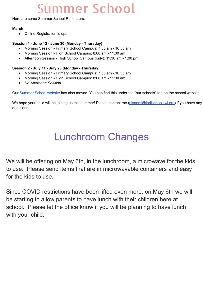# Summer School

Here are some Summer School Reminders.

#### **March**

● Online Registration is open

#### **Session 1 - June 13 - June 30 (Monday - Thursday)**

- Morning Session Primary School Campus: 7:55 am 10:55 am
- Morning Session High School Campus: 8:00 am 11:00 am
- Afternoon Session High School Campus (only): 11:30 am 1:00 pm

#### **Session 2 - July 11 - July 28 (Monday - Thursday)**

- Morning Session Primary School Campus: 7:55 am 10:55 am
- Morning Session High School Campus: 8:00 am 11:00 am
- *● No Afternoon Session*

Our [Summer](https://www.lodi.k12.wi.us/our-schools/summer-school) School website has also moved. You can find this under the "our schools" tab on the school website.

We hope your child will be joining us this summer! Please contact me ([pisanmi@lodischoolswi.org\)](mailto:pisanmi@lodischoolswi.org) if you have any questions.

## Lunchroom Changes

We will be offering on May 6th, in the lunchroom, a microwave for the kids to use. Please send items that are in microwavable containers and easy for the kids to use.

Since COVID restrictions have been lifted even more, on May 6th we will be starting to allow parents to have lunch with their children here at school. Please let the office know if you will be planning to have lunch with your child.